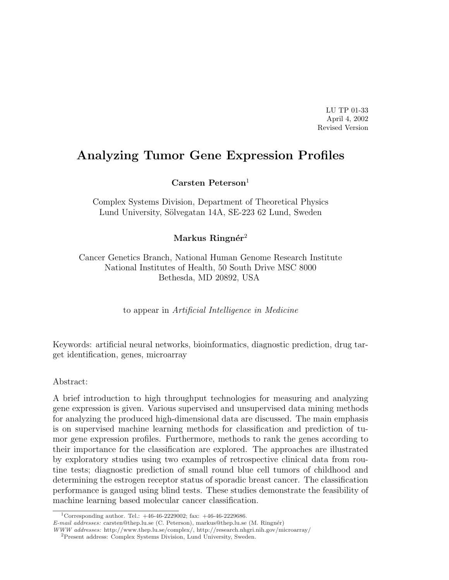LU TP 01-33 April 4, 2002 Revised Version

# Analyzing Tumor Gene Expression Profiles

Carsten Peterson $1$ 

Complex Systems Division, Department of Theoretical Physics Lund University, Sölvegatan 14A, SE-223 62 Lund, Sweden

Markus Ringnér<sup>2</sup>

Cancer Genetics Branch, National Human Genome Research Institute National Institutes of Health, 50 South Drive MSC 8000 Bethesda, MD 20892, USA

to appear in Artificial Intelligence in Medicine

Keywords: artificial neural networks, bioinformatics, diagnostic prediction, drug target identification, genes, microarray

#### Abstract:

A brief introduction to high throughput technologies for measuring and analyzing gene expression is given. Various supervised and unsupervised data mining methods for analyzing the produced high-dimensional data are discussed. The main emphasis is on supervised machine learning methods for classification and prediction of tumor gene expression profiles. Furthermore, methods to rank the genes according to their importance for the classification are explored. The approaches are illustrated by exploratory studies using two examples of retrospective clinical data from routine tests; diagnostic prediction of small round blue cell tumors of childhood and determining the estrogen receptor status of sporadic breast cancer. The classification performance is gauged using blind tests. These studies demonstrate the feasibility of machine learning based molecular cancer classification.

<sup>&</sup>lt;sup>1</sup>Corresponding author. Tel.:  $+46-46-2229002$ ; fax:  $+46-46-2229686$ .

E-mail addresses: carsten@thep.lu.se (C. Peterson), markus@thep.lu.se (M. Ringnér)

WWW addresses: http://www.thep.lu.se/complex/, http://research.nhgri.nih.gov/microarray/

<sup>2</sup>Present address: Complex Systems Division, Lund University, Sweden.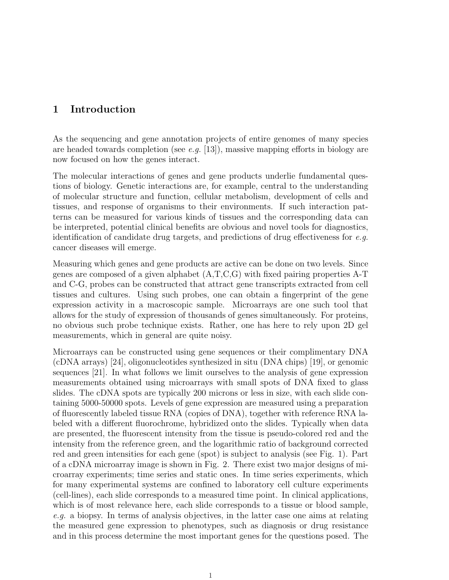## 1 Introduction

As the sequencing and gene annotation projects of entire genomes of many species are headed towards completion (see e.g. [13]), massive mapping efforts in biology are now focused on how the genes interact.

The molecular interactions of genes and gene products underlie fundamental questions of biology. Genetic interactions are, for example, central to the understanding of molecular structure and function, cellular metabolism, development of cells and tissues, and response of organisms to their environments. If such interaction patterns can be measured for various kinds of tissues and the corresponding data can be interpreted, potential clinical benefits are obvious and novel tools for diagnostics, identification of candidate drug targets, and predictions of drug effectiveness for  $e.g.$ cancer diseases will emerge.

Measuring which genes and gene products are active can be done on two levels. Since genes are composed of a given alphabet  $(A, T, C, G)$  with fixed pairing properties A-T and C-G, probes can be constructed that attract gene transcripts extracted from cell tissues and cultures. Using such probes, one can obtain a fingerprint of the gene expression activity in a macroscopic sample. Microarrays are one such tool that allows for the study of expression of thousands of genes simultaneously. For proteins, no obvious such probe technique exists. Rather, one has here to rely upon 2D gel measurements, which in general are quite noisy.

Microarrays can be constructed using gene sequences or their complimentary DNA (cDNA arrays) [24], oligonucleotides synthesized in situ (DNA chips) [19], or genomic sequences [21]. In what follows we limit ourselves to the analysis of gene expression measurements obtained using microarrays with small spots of DNA fixed to glass slides. The cDNA spots are typically 200 microns or less in size, with each slide containing 5000-50000 spots. Levels of gene expression are measured using a preparation of fluorescently labeled tissue RNA (copies of DNA), together with reference RNA labeled with a different fluorochrome, hybridized onto the slides. Typically when data are presented, the fluorescent intensity from the tissue is pseudo-colored red and the intensity from the reference green, and the logarithmic ratio of background corrected red and green intensities for each gene (spot) is subject to analysis (see Fig. 1). Part of a cDNA microarray image is shown in Fig. 2. There exist two major designs of microarray experiments; time series and static ones. In time series experiments, which for many experimental systems are confined to laboratory cell culture experiments (cell-lines), each slide corresponds to a measured time point. In clinical applications, which is of most relevance here, each slide corresponds to a tissue or blood sample, e.g. a biopsy. In terms of analysis objectives, in the latter case one aims at relating the measured gene expression to phenotypes, such as diagnosis or drug resistance and in this process determine the most important genes for the questions posed. The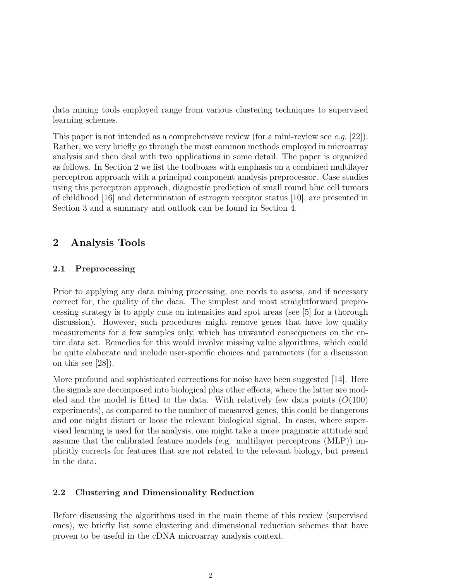data mining tools employed range from various clustering techniques to supervised learning schemes.

This paper is not intended as a comprehensive review (for a mini-review see e.g. [22]). Rather, we very briefly go through the most common methods employed in microarray analysis and then deal with two applications in some detail. The paper is organized as follows. In Section 2 we list the toolboxes with emphasis on a combined multilayer perceptron approach with a principal component analysis preprocessor. Case studies using this perceptron approach, diagnostic prediction of small round blue cell tumors of childhood [16] and determination of estrogen receptor status [10], are presented in Section 3 and a summary and outlook can be found in Section 4.

## 2 Analysis Tools

## 2.1 Preprocessing

Prior to applying any data mining processing, one needs to assess, and if necessary correct for, the quality of the data. The simplest and most straightforward preprocessing strategy is to apply cuts on intensities and spot areas (see [5] for a thorough discussion). However, such procedures might remove genes that have low quality measurements for a few samples only, which has unwanted consequences on the entire data set. Remedies for this would involve missing value algorithms, which could be quite elaborate and include user-specific choices and parameters (for a discussion on this see [28]).

More profound and sophisticated corrections for noise have been suggested [14]. Here the signals are decomposed into biological plus other effects, where the latter are modeled and the model is fitted to the data. With relatively few data points  $(O(100))$ experiments), as compared to the number of measured genes, this could be dangerous and one might distort or loose the relevant biological signal. In cases, where supervised learning is used for the analysis, one might take a more pragmatic attitude and assume that the calibrated feature models (e.g. multilayer perceptrons (MLP)) implicitly corrects for features that are not related to the relevant biology, but present in the data.

## 2.2 Clustering and Dimensionality Reduction

Before discussing the algorithms used in the main theme of this review (supervised ones), we briefly list some clustering and dimensional reduction schemes that have proven to be useful in the cDNA microarray analysis context.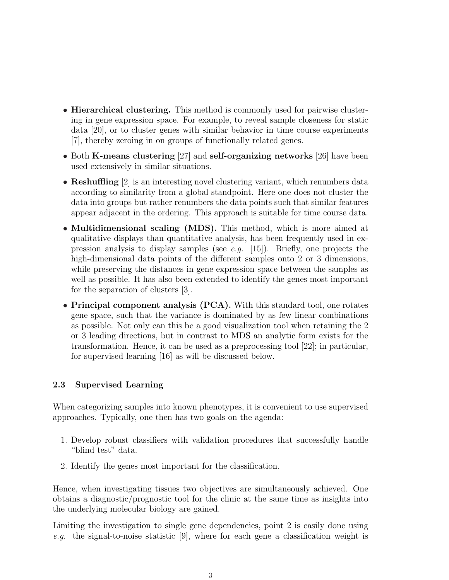- **Hierarchical clustering.** This method is commonly used for pairwise clustering in gene expression space. For example, to reveal sample closeness for static data [20], or to cluster genes with similar behavior in time course experiments [7], thereby zeroing in on groups of functionally related genes.
- Both K-means clustering [27] and self-organizing networks [26] have been used extensively in similar situations.
- **Reshuffling** [2] is an interesting novel clustering variant, which renumbers data according to similarity from a global standpoint. Here one does not cluster the data into groups but rather renumbers the data points such that similar features appear adjacent in the ordering. This approach is suitable for time course data.
- Multidimensional scaling (MDS). This method, which is more aimed at qualitative displays than quantitative analysis, has been frequently used in expression analysis to display samples (see e.g. [15]). Briefly, one projects the high-dimensional data points of the different samples onto 2 or 3 dimensions, while preserving the distances in gene expression space between the samples as well as possible. It has also been extended to identify the genes most important for the separation of clusters [3].
- Principal component analysis (PCA). With this standard tool, one rotates gene space, such that the variance is dominated by as few linear combinations as possible. Not only can this be a good visualization tool when retaining the 2 or 3 leading directions, but in contrast to MDS an analytic form exists for the transformation. Hence, it can be used as a preprocessing tool [22]; in particular, for supervised learning [16] as will be discussed below.

## 2.3 Supervised Learning

When categorizing samples into known phenotypes, it is convenient to use supervised approaches. Typically, one then has two goals on the agenda:

- 1. Develop robust classifiers with validation procedures that successfully handle "blind test" data.
- 2. Identify the genes most important for the classification.

Hence, when investigating tissues two objectives are simultaneously achieved. One obtains a diagnostic/prognostic tool for the clinic at the same time as insights into the underlying molecular biology are gained.

Limiting the investigation to single gene dependencies, point 2 is easily done using e.g. the signal-to-noise statistic [9], where for each gene a classification weight is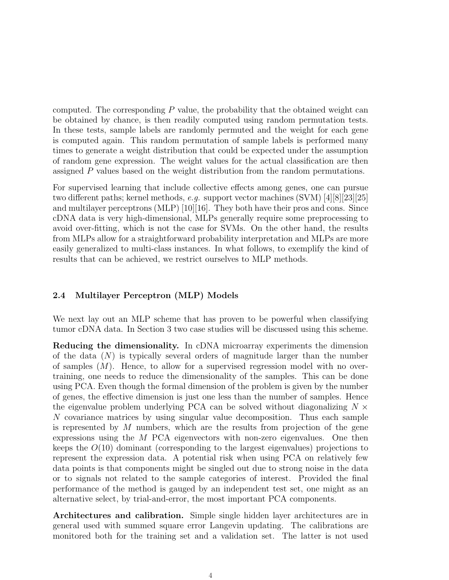computed. The corresponding  $P$  value, the probability that the obtained weight can be obtained by chance, is then readily computed using random permutation tests. In these tests, sample labels are randomly permuted and the weight for each gene is computed again. This random permutation of sample labels is performed many times to generate a weight distribution that could be expected under the assumption of random gene expression. The weight values for the actual classification are then assigned P values based on the weight distribution from the random permutations.

For supervised learning that include collective effects among genes, one can pursue two different paths; kernel methods, e.g. support vector machines (SVM) [4][8][23][25] and multilayer perceptrons (MLP) [10][16]. They both have their pros and cons. Since cDNA data is very high-dimensional, MLPs generally require some preprocessing to avoid over-fitting, which is not the case for SVMs. On the other hand, the results from MLPs allow for a straightforward probability interpretation and MLPs are more easily generalized to multi-class instances. In what follows, to exemplify the kind of results that can be achieved, we restrict ourselves to MLP methods.

## 2.4 Multilayer Perceptron (MLP) Models

We next lay out an MLP scheme that has proven to be powerful when classifying tumor cDNA data. In Section 3 two case studies will be discussed using this scheme.

Reducing the dimensionality. In cDNA microarray experiments the dimension of the data  $(N)$  is typically several orders of magnitude larger than the number of samples  $(M)$ . Hence, to allow for a supervised regression model with no overtraining, one needs to reduce the dimensionality of the samples. This can be done using PCA. Even though the formal dimension of the problem is given by the number of genes, the effective dimension is just one less than the number of samples. Hence the eigenvalue problem underlying PCA can be solved without diagonalizing  $N \times$ N covariance matrices by using singular value decomposition. Thus each sample is represented by  $M$  numbers, which are the results from projection of the gene expressions using the M PCA eigenvectors with non-zero eigenvalues. One then keeps the  $O(10)$  dominant (corresponding to the largest eigenvalues) projections to represent the expression data. A potential risk when using PCA on relatively few data points is that components might be singled out due to strong noise in the data or to signals not related to the sample categories of interest. Provided the final performance of the method is gauged by an independent test set, one might as an alternative select, by trial-and-error, the most important PCA components.

Architectures and calibration. Simple single hidden layer architectures are in general used with summed square error Langevin updating. The calibrations are monitored both for the training set and a validation set. The latter is not used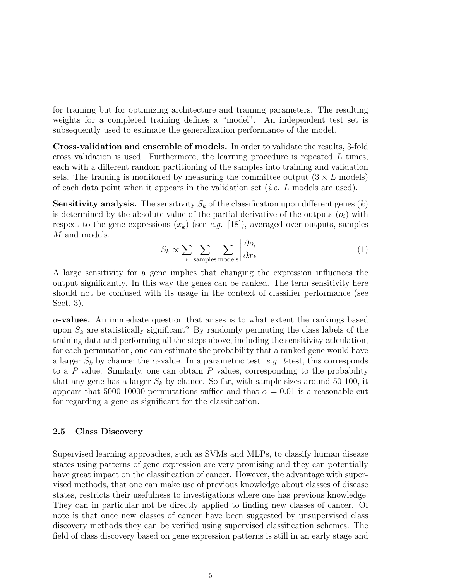for training but for optimizing architecture and training parameters. The resulting weights for a completed training defines a "model". An independent test set is subsequently used to estimate the generalization performance of the model.

Cross-validation and ensemble of models. In order to validate the results, 3-fold cross validation is used. Furthermore, the learning procedure is repeated  $L$  times, each with a different random partitioning of the samples into training and validation sets. The training is monitored by measuring the committee output  $(3 \times L \text{ models})$ of each data point when it appears in the validation set (*i.e.*  $L$  models are used).

**Sensitivity analysis.** The sensitivity  $S_k$  of the classification upon different genes  $(k)$ is determined by the absolute value of the partial derivative of the outputs  $(o_i)$  with respect to the gene expressions  $(x_k)$  (see e.g. [18]), averaged over outputs, samples M and models.  $\overline{a}$  $\overline{a}$ 

$$
S_k \propto \sum_{i} \sum_{\text{samples models}} \left| \frac{\partial o_i}{\partial x_k} \right| \tag{1}
$$

A large sensitivity for a gene implies that changing the expression influences the output significantly. In this way the genes can be ranked. The term sensitivity here should not be confused with its usage in the context of classifier performance (see Sect. 3).

 $\alpha$ -values. An immediate question that arises is to what extent the rankings based upon  $S_k$  are statistically significant? By randomly permuting the class labels of the training data and performing all the steps above, including the sensitivity calculation, for each permutation, one can estimate the probability that a ranked gene would have a larger  $S_k$  by chance; the  $\alpha$ -value. In a parametric test, e.g. t-test, this corresponds to a  $P$  value. Similarly, one can obtain  $P$  values, corresponding to the probability that any gene has a larger  $S_k$  by chance. So far, with sample sizes around 50-100, it appears that 5000-10000 permutations suffice and that  $\alpha = 0.01$  is a reasonable cut for regarding a gene as significant for the classification.

#### 2.5 Class Discovery

Supervised learning approaches, such as SVMs and MLPs, to classify human disease states using patterns of gene expression are very promising and they can potentially have great impact on the classification of cancer. However, the advantage with supervised methods, that one can make use of previous knowledge about classes of disease states, restricts their usefulness to investigations where one has previous knowledge. They can in particular not be directly applied to finding new classes of cancer. Of note is that once new classes of cancer have been suggested by unsupervised class discovery methods they can be verified using supervised classification schemes. The field of class discovery based on gene expression patterns is still in an early stage and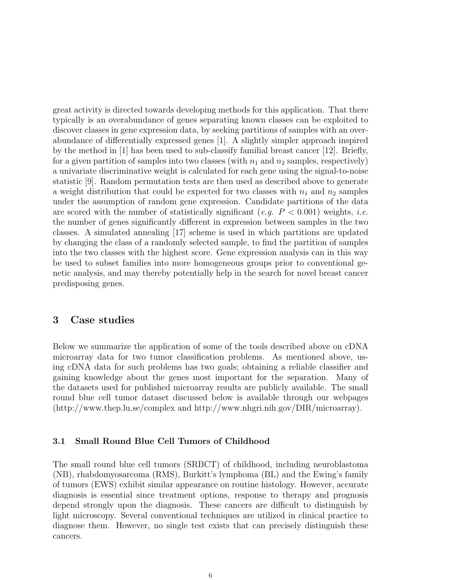great activity is directed towards developing methods for this application. That there typically is an overabundance of genes separating known classes can be exploited to discover classes in gene expression data, by seeking partitions of samples with an overabundance of differentially expressed genes [1]. A slightly simpler approach inspired by the method in [1] has been used to sub-classify familial breast cancer [12]. Briefly, for a given partition of samples into two classes (with  $n_1$  and  $n_2$  samples, respectively) a univariate discriminative weight is calculated for each gene using the signal-to-noise statistic [9]. Random permutation tests are then used as described above to generate a weight distribution that could be expected for two classes with  $n_1$  and  $n_2$  samples under the assumption of random gene expression. Candidate partitions of the data are scored with the number of statistically significant (e.g.  $P < 0.001$ ) weights, *i.e.* the number of genes significantly different in expression between samples in the two classes. A simulated annealing [17] scheme is used in which partitions are updated by changing the class of a randomly selected sample, to find the partition of samples into the two classes with the highest score. Gene expression analysis can in this way be used to subset families into more homogeneous groups prior to conventional genetic analysis, and may thereby potentially help in the search for novel breast cancer predisposing genes.

## 3 Case studies

Below we summarize the application of some of the tools described above on cDNA microarray data for two tumor classification problems. As mentioned above, using cDNA data for such problems has two goals; obtaining a reliable classifier and gaining knowledge about the genes most important for the separation. Many of the datasets used for published microarray results are publicly available. The small round blue cell tumor dataset discussed below is available through our webpages (http://www.thep.lu.se/complex and http://www.nhgri.nih.gov/DIR/microarray).

#### 3.1 Small Round Blue Cell Tumors of Childhood

The small round blue cell tumors (SRBCT) of childhood, including neuroblastoma (NB), rhabdomyosarcoma (RMS), Burkitt's lymphoma (BL) and the Ewing's family of tumors (EWS) exhibit similar appearance on routine histology. However, accurate diagnosis is essential since treatment options, response to therapy and prognosis depend strongly upon the diagnosis. These cancers are difficult to distinguish by light microscopy. Several conventional techniques are utilized in clinical practice to diagnose them. However, no single test exists that can precisely distinguish these cancers.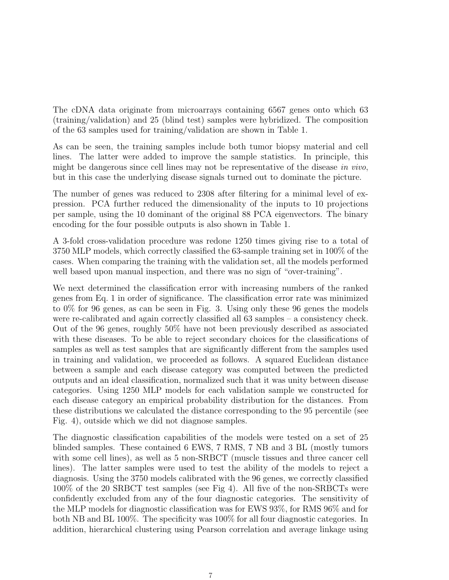The cDNA data originate from microarrays containing 6567 genes onto which 63 (training/validation) and 25 (blind test) samples were hybridized. The composition of the 63 samples used for training/validation are shown in Table 1.

As can be seen, the training samples include both tumor biopsy material and cell lines. The latter were added to improve the sample statistics. In principle, this might be dangerous since cell lines may not be representative of the disease in vivo, but in this case the underlying disease signals turned out to dominate the picture.

The number of genes was reduced to 2308 after filtering for a minimal level of expression. PCA further reduced the dimensionality of the inputs to 10 projections per sample, using the 10 dominant of the original 88 PCA eigenvectors. The binary encoding for the four possible outputs is also shown in Table 1.

A 3-fold cross-validation procedure was redone 1250 times giving rise to a total of 3750 MLP models, which correctly classified the 63-sample training set in 100% of the cases. When comparing the training with the validation set, all the models performed well based upon manual inspection, and there was no sign of "over-training".

We next determined the classification error with increasing numbers of the ranked genes from Eq. 1 in order of significance. The classification error rate was minimized to 0% for 96 genes, as can be seen in Fig. 3. Using only these 96 genes the models were re-calibrated and again correctly classified all 63 samples – a consistency check. Out of the 96 genes, roughly 50% have not been previously described as associated with these diseases. To be able to reject secondary choices for the classifications of samples as well as test samples that are significantly different from the samples used in training and validation, we proceeded as follows. A squared Euclidean distance between a sample and each disease category was computed between the predicted outputs and an ideal classification, normalized such that it was unity between disease categories. Using 1250 MLP models for each validation sample we constructed for each disease category an empirical probability distribution for the distances. From these distributions we calculated the distance corresponding to the 95 percentile (see Fig. 4), outside which we did not diagnose samples.

The diagnostic classification capabilities of the models were tested on a set of 25 blinded samples. These contained 6 EWS, 7 RMS, 7 NB and 3 BL (mostly tumors with some cell lines), as well as 5 non-SRBCT (muscle tissues and three cancer cell lines). The latter samples were used to test the ability of the models to reject a diagnosis. Using the 3750 models calibrated with the 96 genes, we correctly classified 100% of the 20 SRBCT test samples (see Fig 4). All five of the non-SRBCTs were confidently excluded from any of the four diagnostic categories. The sensitivity of the MLP models for diagnostic classification was for EWS 93%, for RMS 96% and for both NB and BL 100%. The specificity was 100% for all four diagnostic categories. In addition, hierarchical clustering using Pearson correlation and average linkage using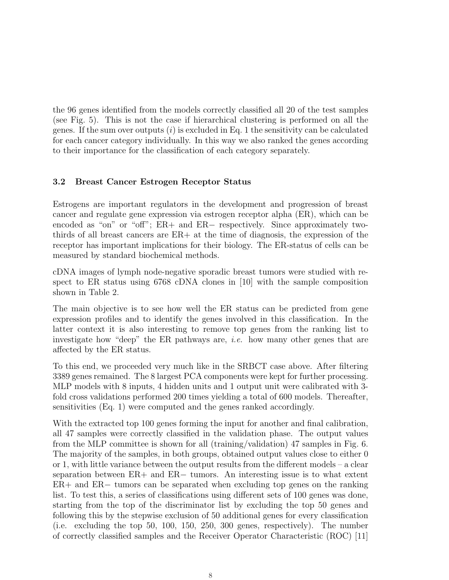the 96 genes identified from the models correctly classified all 20 of the test samples (see Fig. 5). This is not the case if hierarchical clustering is performed on all the genes. If the sum over outputs  $(i)$  is excluded in Eq. 1 the sensitivity can be calculated for each cancer category individually. In this way we also ranked the genes according to their importance for the classification of each category separately.

## 3.2 Breast Cancer Estrogen Receptor Status

Estrogens are important regulators in the development and progression of breast cancer and regulate gene expression via estrogen receptor alpha (ER), which can be encoded as "on" or "off"; ER+ and ER− respectively. Since approximately twothirds of all breast cancers are ER+ at the time of diagnosis, the expression of the receptor has important implications for their biology. The ER-status of cells can be measured by standard biochemical methods.

cDNA images of lymph node-negative sporadic breast tumors were studied with respect to ER status using 6768 cDNA clones in [10] with the sample composition shown in Table 2.

The main objective is to see how well the ER status can be predicted from gene expression profiles and to identify the genes involved in this classification. In the latter context it is also interesting to remove top genes from the ranking list to investigate how "deep" the ER pathways are, i.e. how many other genes that are affected by the ER status.

To this end, we proceeded very much like in the SRBCT case above. After filtering 3389 genes remained. The 8 largest PCA components were kept for further processing. MLP models with 8 inputs, 4 hidden units and 1 output unit were calibrated with 3 fold cross validations performed 200 times yielding a total of 600 models. Thereafter, sensitivities (Eq. 1) were computed and the genes ranked accordingly.

With the extracted top 100 genes forming the input for another and final calibration, all 47 samples were correctly classified in the validation phase. The output values from the MLP committee is shown for all (training/validation) 47 samples in Fig. 6. The majority of the samples, in both groups, obtained output values close to either 0 or 1, with little variance between the output results from the different models – a clear separation between ER+ and ER− tumors. An interesting issue is to what extent ER+ and ER− tumors can be separated when excluding top genes on the ranking list. To test this, a series of classifications using different sets of 100 genes was done, starting from the top of the discriminator list by excluding the top 50 genes and following this by the stepwise exclusion of 50 additional genes for every classification (i.e. excluding the top 50, 100, 150, 250, 300 genes, respectively). The number of correctly classified samples and the Receiver Operator Characteristic (ROC) [11]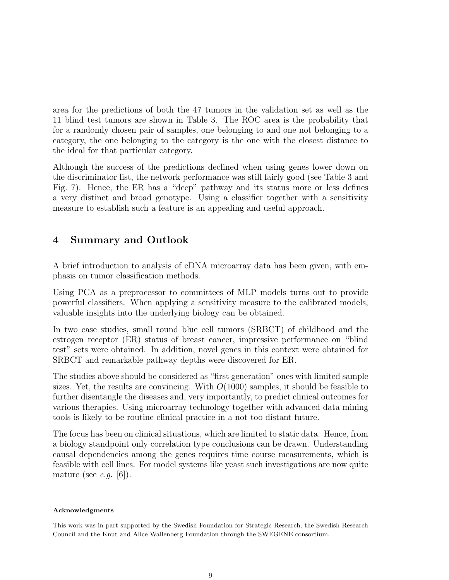area for the predictions of both the 47 tumors in the validation set as well as the 11 blind test tumors are shown in Table 3. The ROC area is the probability that for a randomly chosen pair of samples, one belonging to and one not belonging to a category, the one belonging to the category is the one with the closest distance to the ideal for that particular category.

Although the success of the predictions declined when using genes lower down on the discriminator list, the network performance was still fairly good (see Table 3 and Fig. 7). Hence, the ER has a "deep" pathway and its status more or less defines a very distinct and broad genotype. Using a classifier together with a sensitivity measure to establish such a feature is an appealing and useful approach.

## 4 Summary and Outlook

A brief introduction to analysis of cDNA microarray data has been given, with emphasis on tumor classification methods.

Using PCA as a preprocessor to committees of MLP models turns out to provide powerful classifiers. When applying a sensitivity measure to the calibrated models, valuable insights into the underlying biology can be obtained.

In two case studies, small round blue cell tumors (SRBCT) of childhood and the estrogen receptor (ER) status of breast cancer, impressive performance on "blind test" sets were obtained. In addition, novel genes in this context were obtained for SRBCT and remarkable pathway depths were discovered for ER.

The studies above should be considered as "first generation" ones with limited sample sizes. Yet, the results are convincing. With  $O(1000)$  samples, it should be feasible to further disentangle the diseases and, very importantly, to predict clinical outcomes for various therapies. Using microarray technology together with advanced data mining tools is likely to be routine clinical practice in a not too distant future.

The focus has been on clinical situations, which are limited to static data. Hence, from a biology standpoint only correlation type conclusions can be drawn. Understanding causal dependencies among the genes requires time course measurements, which is feasible with cell lines. For model systems like yeast such investigations are now quite mature (see *e.g.* [6]).

#### Acknowledgments

This work was in part supported by the Swedish Foundation for Strategic Research, the Swedish Research Council and the Knut and Alice Wallenberg Foundation through the SWEGENE consortium.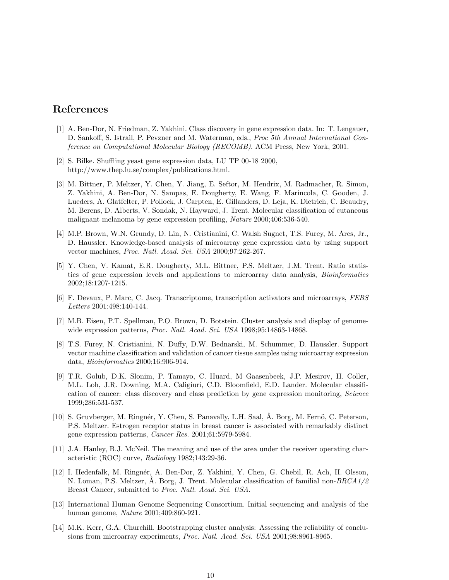## References

- [1] A. Ben-Dor, N. Friedman, Z. Yakhini. Class discovery in gene expression data. In: T. Lengauer, D. Sankoff, S. Istrail, P. Pevzner and M. Waterman, eds., Proc 5th Annual International Conference on Computational Molecular Biology (RECOMB). ACM Press, New York, 2001.
- [2] S. Bilke. Shuffling yeast gene expression data, LU TP 00-18 2000, http://www.thep.lu.se/complex/publications.html.
- [3] M. Bittner, P. Meltzer, Y. Chen, Y. Jiang, E. Seftor, M. Hendrix, M. Radmacher, R. Simon, Z. Yakhini, A. Ben-Dor, N. Sampas, E. Dougherty, E. Wang, F. Marincola, C. Gooden, J. Lueders, A. Glatfelter, P. Pollock, J. Carpten, E. Gillanders, D. Leja, K. Dietrich, C. Beaudry, M. Berens, D. Alberts, V. Sondak, N. Hayward, J. Trent. Molecular classification of cutaneous malignant melanoma by gene expression profiling, Nature 2000;406:536-540.
- [4] M.P. Brown, W.N. Grundy, D. Lin, N. Cristianini, C. Walsh Sugnet, T.S. Furey, M. Ares, Jr., D. Haussler. Knowledge-based analysis of microarray gene expression data by using support vector machines, Proc. Natl. Acad. Sci. USA 2000;97:262-267.
- [5] Y. Chen, V. Kamat, E.R. Dougherty, M.L. Bittner, P.S. Meltzer, J.M. Trent. Ratio statistics of gene expression levels and applications to microarray data analysis, Bioinformatics 2002;18:1207-1215.
- [6] F. Devaux, P. Marc, C. Jacq. Transcriptome, transcription activators and microarrays, FEBS Letters 2001:498:140-144.
- [7] M.B. Eisen, P.T. Spellman, P.O. Brown, D. Botstein. Cluster analysis and display of genomewide expression patterns, Proc. Natl. Acad. Sci. USA 1998;95:14863-14868.
- [8] T.S. Furey, N. Cristianini, N. Duffy, D.W. Bednarski, M. Schummer, D. Haussler. Support vector machine classification and validation of cancer tissue samples using microarray expression data, Bioinformatics 2000;16:906-914.
- [9] T.R. Golub, D.K. Slonim, P. Tamayo, C. Huard, M Gaasenbeek, J.P. Mesirov, H. Coller, M.L. Loh, J.R. Downing, M.A. Caligiuri, C.D. Bloomfield, E.D. Lander. Molecular classification of cancer: class discovery and class prediction by gene expression monitoring, Science 1999;286:531-537.
- [10] S. Gruvberger, M. Ringnér, Y. Chen, S. Panavally, L.H. Saal, Å. Borg, M. Fernö, C. Peterson, P.S. Meltzer. Estrogen receptor status in breast cancer is associated with remarkably distinct gene expression patterns, Cancer Res. 2001;61:5979-5984.
- [11] J.A. Hanley, B.J. McNeil. The meaning and use of the area under the receiver operating characteristic (ROC) curve, Radiology 1982;143:29-36.
- [12] I. Hedenfalk, M. Ringnér, A. Ben-Dor, Z. Yakhini, Y. Chen, G. Chebil, R. Ach, H. Olsson, N. Loman, P.S. Meltzer, A. Borg, J. Trent. Molecular classification of familial non- $BRCA1/2$ Breast Cancer, submitted to Proc. Natl. Acad. Sci. USA.
- [13] International Human Genome Sequencing Consortium. Initial sequencing and analysis of the human genome, Nature 2001;409:860-921.
- [14] M.K. Kerr, G.A. Churchill. Bootstrapping cluster analysis: Assessing the reliability of conclusions from microarray experiments, Proc. Natl. Acad. Sci. USA 2001;98:8961-8965.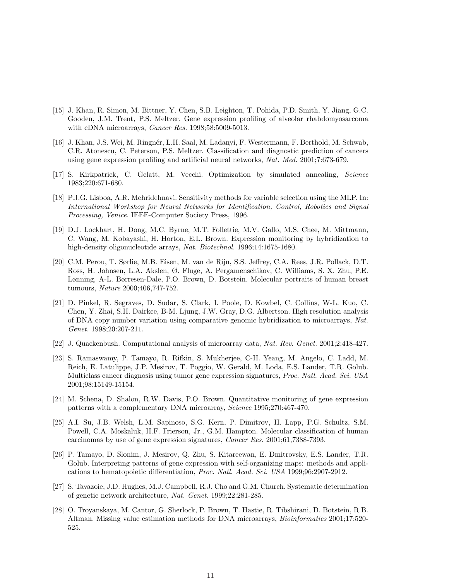- [15] J. Khan, R. Simon, M. Bittner, Y. Chen, S.B. Leighton, T. Pohida, P.D. Smith, Y. Jiang, G.C. Gooden, J.M. Trent, P.S. Meltzer. Gene expression profiling of alveolar rhabdomyosarcoma with cDNA microarrays, Cancer Res. 1998;58:5009-5013.
- [16] J. Khan, J.S. Wei, M. Ringn´er, L.H. Saal, M. Ladanyi, F. Westermann, F. Berthold, M. Schwab, C.R. Atonescu, C. Peterson, P.S. Meltzer. Classification and diagnostic prediction of cancers using gene expression profiling and artificial neural networks, Nat. Med. 2001;7:673-679.
- [17] S. Kirkpatrick, C. Gelatt, M. Vecchi. Optimization by simulated annealing, Science 1983;220:671-680.
- [18] P.J.G. Lisboa, A.R. Mehridehnavi. Sensitivity methods for variable selection using the MLP. In: International Workshop for Neural Networks for Identification, Control, Robotics and Signal Processing, Venice. IEEE-Computer Society Press, 1996.
- [19] D.J. Lockhart, H. Dong, M.C. Byrne, M.T. Follettie, M.V. Gallo, M.S. Chee, M. Mittmann, C. Wang, M. Kobayashi, H. Horton, E.L. Brown. Expression monitoring by hybridization to high-density oligonucleotide arrays, Nat. Biotechnol. 1996;14:1675-1680.
- [20] C.M. Perou, T. Sørlie, M.B. Eisen, M. van de Rijn, S.S. Jeffrey, C.A. Rees, J.R. Pollack, D.T. Ross, H. Johnsen, L.A. Akslen, Ø. Fluge, A. Pergamenschikov, C. Williams, S. X. Zhu, P.E. Lønning, A-L. Børresen-Dale, P.O. Brown, D. Botstein. Molecular portraits of human breast tumours, Nature 2000;406,747-752.
- [21] D. Pinkel, R. Segraves, D. Sudar, S. Clark, I. Poole, D. Kowbel, C. Collins, W-L. Kuo, C. Chen, Y. Zhai, S.H. Dairkee, B-M. Ljung, J.W. Gray, D.G. Albertson. High resolution analysis of DNA copy number variation using comparative genomic hybridization to microarrays, Nat. Genet. 1998;20:207-211.
- [22] J. Quackenbush. Computational analysis of microarray data, Nat. Rev. Genet. 2001;2:418-427.
- [23] S. Ramaswamy, P. Tamayo, R. Rifkin, S. Mukherjee, C-H. Yeang, M. Angelo, C. Ladd, M. Reich, E. Latulippe, J.P. Mesirov, T. Poggio, W. Gerald, M. Loda, E.S. Lander, T.R. Golub. Multiclass cancer diagnosis using tumor gene expression signatures, Proc. Natl. Acad. Sci. USA 2001;98:15149-15154.
- [24] M. Schena, D. Shalon, R.W. Davis, P.O. Brown. Quantitative monitoring of gene expression patterns with a complementary DNA microarray, Science 1995;270:467-470.
- [25] A.I. Su, J.B. Welsh, L.M. Sapinoso, S.G. Kern, P. Dimitrov, H. Lapp, P.G. Schultz, S.M. Powell, C.A. Moskaluk, H.F. Frierson, Jr., G.M. Hampton. Molecular classification of human carcinomas by use of gene expression signatures, Cancer Res. 2001;61,7388-7393.
- [26] P. Tamayo, D. Slonim, J. Mesirov, Q. Zhu, S. Kitareewan, E. Dmitrovsky, E.S. Lander, T.R. Golub. Interpreting patterns of gene expression with self-organizing maps: methods and applications to hematopoietic differentiation, Proc. Natl. Acad. Sci. USA 1999;96:2907-2912.
- [27] S. Tavazoie, J.D. Hughes, M.J. Campbell, R.J. Cho and G.M. Church. Systematic determination of genetic network architecture, Nat. Genet. 1999;22:281-285.
- [28] O. Troyanskaya, M. Cantor, G. Sherlock, P. Brown, T. Hastie, R. Tibshirani, D. Botstein, R.B. Altman. Missing value estimation methods for DNA microarrays, Bioinformatics 2001;17:520- 525.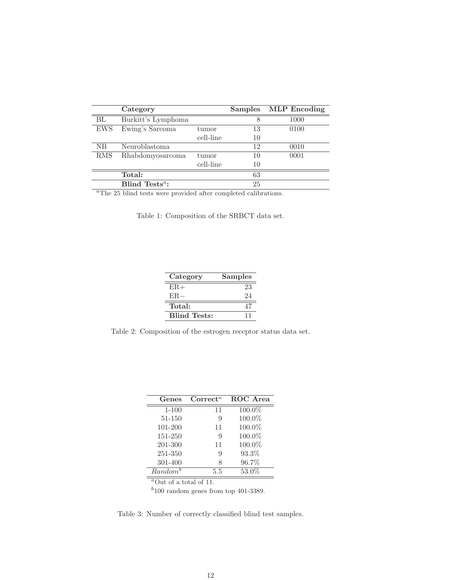|                                | Category                   |           |                 | Samples MLP Encoding |
|--------------------------------|----------------------------|-----------|-----------------|----------------------|
| ΒL                             | Burkitt's Lymphoma         |           | 8               | 1000                 |
| <b>EWS</b>                     | Ewing's Sarcoma            | tumor     | 13              | 0100                 |
|                                |                            | cell-line | 10              |                      |
| NB.                            | Neuroblastoma              |           | 12              | 0010                 |
| <b>RMS</b>                     | Rhabdomyosarcoma           | tumor     | 10              | 0001                 |
|                                |                            | cell-line | 10              |                      |
|                                | Total:                     |           | 63              |                      |
|                                | Blind Tests <sup>a</sup> : |           | 25              |                      |
| $a_{m1}$<br>$\cdot$ 1 $\alpha$ |                            |           | 1.1<br>$\cdots$ |                      |

The 25 blind tests were provided after completed calibrations.

Table 1: Composition of the SRBCT data set.

| Category            | Samples |
|---------------------|---------|
| $ER+$               | 23      |
| $ER-$               | 24      |
| Total:              | 47      |
| <b>Blind Tests:</b> | 11      |

Table 2: Composition of the estrogen receptor status data set.

| Genes               | $\rm Correct^a$ | ROC Area  |
|---------------------|-----------------|-----------|
| $1 - 100$           | 11              | $100.0\%$ |
| 51-150              | 9               | 100.0%    |
| 101-200             | 11              | 100.0%    |
| 151-250             | 9               | 100.0%    |
| 201-300             | 11              | 100.0%    |
| 251-350             | 9               | 93.3%     |
| 301-400             | 8               | 96.7%     |
| Random <sup>b</sup> | 5.5             | 53.0%     |
|                     |                 |           |

 $a$ Out of a total of 11.

 $b<sup>b</sup>$ 100 random genes from top 401-3389.

Table 3: Number of correctly classified blind test samples.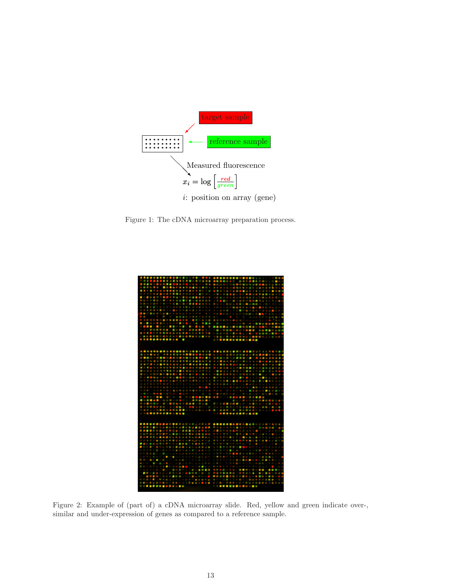

Figure 1: The cDNA microarray preparation process.



Figure 2: Example of (part of) a cDNA microarray slide. Red, yellow and green indicate over-, similar and under-expression of genes as compared to a reference sample.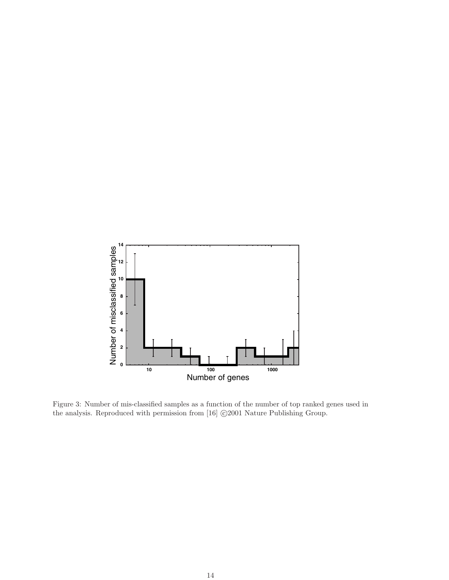

Figure 3: Number of mis-classified samples as a function of the number of top ranked genes used in the analysis. Reproduced with permission from [16]  $\odot$ 2001 Nature Publishing Group.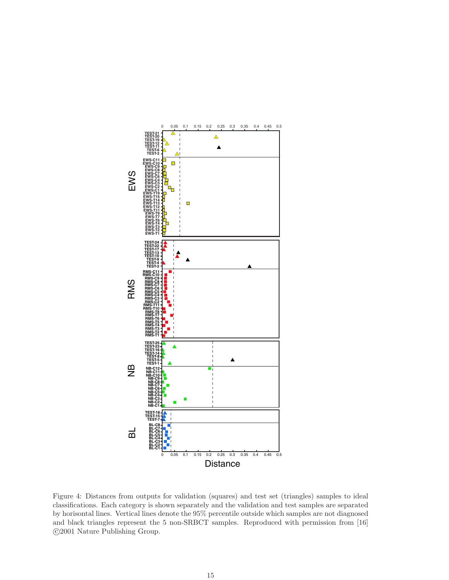

Figure 4: Distances from outputs for validation (squares) and test set (triangles) samples to ideal classifications. Each category is shown separately and the validation and test samples are separated by horisontal lines. Vertical lines denote the 95% percentile outside which samples are not diagnosed and black triangles represent the 5 non-SRBCT samples. Reproduced with permission from [16] °c 2001 Nature Publishing Group.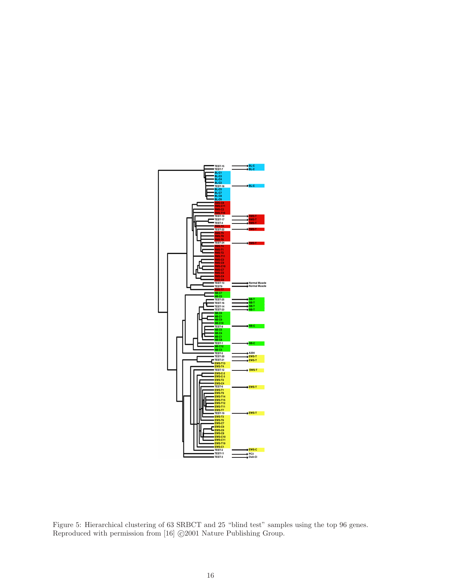

Figure 5: Hierarchical clustering of 63 SRBCT and 25 "blind test" samples using the top 96 genes. Reproduced with permission from [16]  $\odot$ 2001 Nature Publishing Group.